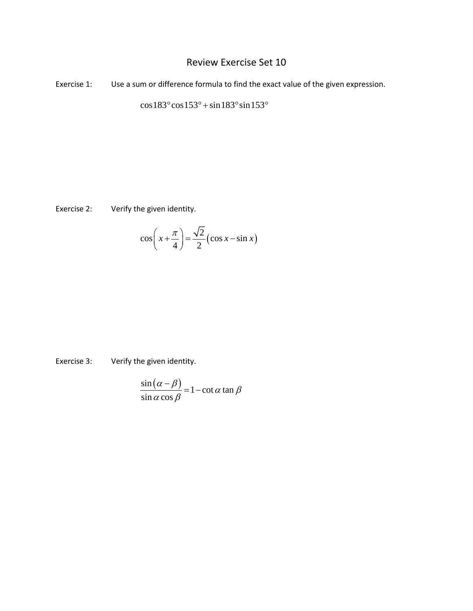## Review Exercise Set 10

Exercise 1: Use a sum or difference formula to find the exact value of the given expression.

 $\cos 183^\circ \cos 153^\circ + \sin 183^\circ \sin 153^\circ$ 

Exercise 2: Verify the given identity.

$$
\cos\left(x + \frac{\pi}{4}\right) = \frac{\sqrt{2}}{2} \left(\cos x - \sin x\right)
$$

Exercise 3: Verify the given identity.

$$
\frac{\sin(\alpha - \beta)}{\sin\alpha\cos\beta} = 1 - \cot\alpha\tan\beta
$$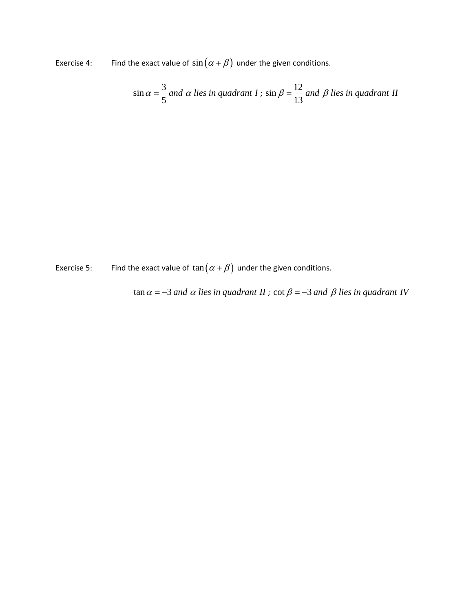Exercise 4: Find the exact value of  $sin(\alpha + \beta)$  under the given conditions.

$$
\sin \alpha = \frac{3}{5}
$$
 and  $\alpha$  lies in quadrant  $I$ ;  $\sin \beta = \frac{12}{13}$  and  $\beta$  lies in quadrant  $II$ 

Exercise 5: Find the exact value of  $\tan (\alpha + \beta)$  under the given conditions.

$$
\tan \alpha = -3
$$
 and  $\alpha$  lies in quadrant  $H$ ;  $\cot \beta = -3$  and  $\beta$  lies in quadrant  $IV$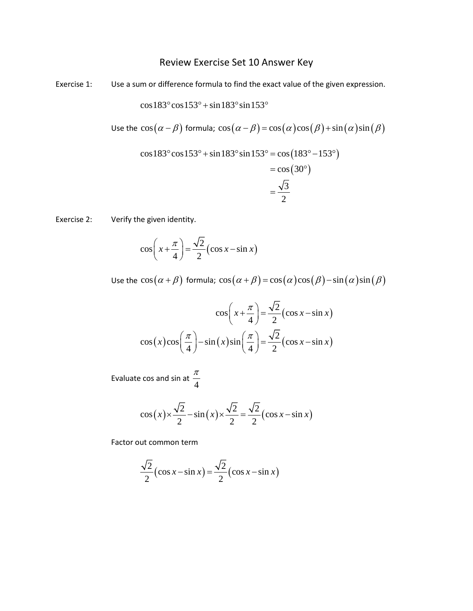## Review Exercise Set 10 Answer Key

Exercise 1: Use a sum or difference formula to find the exact value of the given expression.

 $\cos 183^\circ \cos 153^\circ + \sin 183^\circ \sin 153^\circ$ 

Use the 
$$
\cos(\alpha - \beta)
$$
 formula;  $\cos(\alpha - \beta) = \cos(\alpha)\cos(\beta) + \sin(\alpha)\sin(\beta)$ 

$$
\cos 183^\circ \cos 153^\circ + \sin 183^\circ \sin 153^\circ = \cos (183^\circ - 153^\circ)
$$
  
=  $\cos (30^\circ)$   
=  $\frac{\sqrt{3}}{2}$ 

Exercise 2: Verify the given identity.

$$
\cos\left(x + \frac{\pi}{4}\right) = \frac{\sqrt{2}}{2} \left(\cos x - \sin x\right)
$$

Use the  $\cos(\alpha + \beta)$  formula;  $\cos(\alpha + \beta) = \cos(\alpha)\cos(\beta) - \sin(\alpha)\sin(\beta)$ 

$$
\cos\left(x + \frac{\pi}{4}\right) = \frac{\sqrt{2}}{2} \left(\cos x - \sin x\right)
$$

$$
\cos\left(x\right)\cos\left(\frac{\pi}{4}\right) - \sin\left(x\right)\sin\left(\frac{\pi}{4}\right) = \frac{\sqrt{2}}{2} \left(\cos x - \sin x\right)
$$

Evaluate cos and sin at 4 π

$$
\cos(x) \times \frac{\sqrt{2}}{2} - \sin(x) \times \frac{\sqrt{2}}{2} = \frac{\sqrt{2}}{2} (\cos x - \sin x)
$$

Factor out common term

$$
\frac{\sqrt{2}}{2}(\cos x - \sin x) = \frac{\sqrt{2}}{2}(\cos x - \sin x)
$$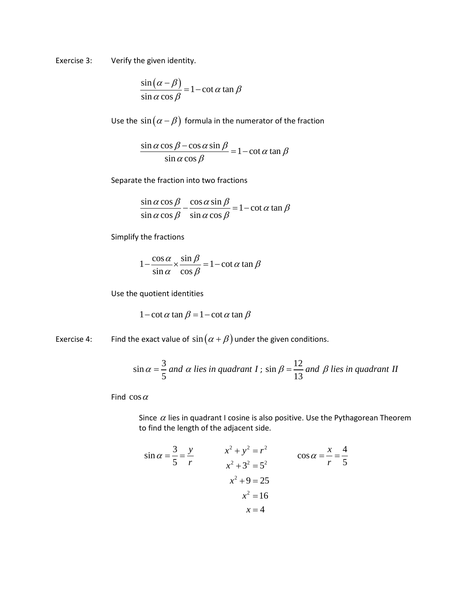Exercise 3: Verify the given identity.

$$
\frac{\sin(\alpha - \beta)}{\sin\alpha\cos\beta} = 1 - \cot\alpha\tan\beta
$$

Use the  $sin(\alpha - \beta)$  formula in the numerator of the fraction

 $\frac{\sin \alpha \cos \beta - \cos \alpha \sin \beta}{\alpha} = 1 - \cot \alpha \tan \beta$  $\sin \alpha \cos$  $\frac{\alpha \cos \beta - \cos \alpha \sin \beta}{\alpha} = 1 - \cot \alpha \tan \beta$  $\alpha$  cos  $\beta$  $\frac{-\cos\alpha\sin\beta}{2} = 1 -$ 

Separate the fraction into two fractions

 $\frac{\sin \alpha \cos \beta}{\sin \alpha} - \frac{\cos \alpha \sin \beta}{\cos \alpha} = 1 - \cot \alpha \tan \beta$  $\frac{\sin \alpha \cos \beta}{\sin \alpha \cos \beta} - \frac{\cos \alpha \sin \beta}{\sin \alpha \cos \beta} = 1 - \cot \alpha \tan \beta$ 

Simplify the fractions

$$
1 - \frac{\cos \alpha}{\sin \alpha} \times \frac{\sin \beta}{\cos \beta} = 1 - \cot \alpha \tan \beta
$$

Use the quotient identities

$$
1-\cot \alpha \tan \beta = 1-\cot \alpha \tan \beta
$$

Exercise 4: Find the exact value of  $sin(\alpha + \beta)$  under the given conditions.

$$
\sin \alpha = \frac{3}{5}
$$
 and  $\alpha$  lies in quadrant  $I$ ;  $\sin \beta = \frac{12}{13}$  and  $\beta$  lies in quadrant  $II$ 

Find  $\cos \alpha$ 

Since  $\alpha$  lies in quadrant I cosine is also positive. Use the Pythagorean Theorem to find the length of the adjacent side.

$$
\sin \alpha = \frac{3}{5} = \frac{y}{r}
$$
\n
$$
x^{2} + y^{2} = r^{2}
$$
\n
$$
x^{2} + 3^{2} = 5^{2}
$$
\n
$$
x^{2} + 9 = 25
$$
\n
$$
x^{2} = 16
$$
\n
$$
x = 4
$$
\n
$$
x = 4
$$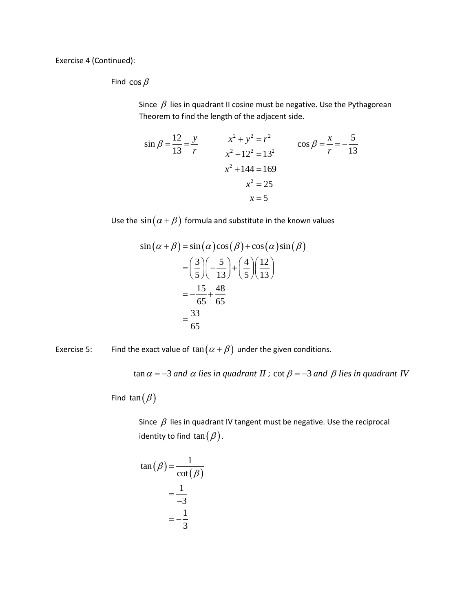Exercise 4 (Continued):

Find  $\cos \beta$ 

Since  $\beta$  lies in quadrant II cosine must be negative. Use the Pythagorean Theorem to find the length of the adjacent side.

$$
\sin \beta = \frac{12}{13} = \frac{y}{r}
$$
\n
$$
x^2 + y^2 = r^2
$$
\n
$$
x^2 + 12^2 = 13^2
$$
\n
$$
x^2 + 144 = 169
$$
\n
$$
x^2 = 25
$$
\n
$$
x = 5
$$
\n
$$
x = 5
$$

Use the  $\sin(\alpha + \beta)$  formula and substitute in the known values

$$
\sin(\alpha + \beta) = \sin(\alpha)\cos(\beta) + \cos(\alpha)\sin(\beta)
$$

$$
= \left(\frac{3}{5}\right)\left(-\frac{5}{13}\right) + \left(\frac{4}{5}\right)\left(\frac{12}{13}\right)
$$

$$
= -\frac{15}{65} + \frac{48}{65}
$$

$$
= \frac{33}{65}
$$

Exercise 5: Find the exact value of  $\tan (\alpha + \beta)$  under the given conditions.

 $\tan \alpha = -3$  and  $\alpha$  lies in quadrant II ; cot  $\beta = -3$  and  $\beta$  lies in quadrant IV

Find tan  $(\beta)$ 

Since  $\beta$  lies in quadrant IV tangent must be negative. Use the reciprocal identity to find  $\tan(\beta)$ .

$$
\tan(\beta) = \frac{1}{\cot(\beta)}
$$

$$
= \frac{1}{-3}
$$

$$
= -\frac{1}{3}
$$